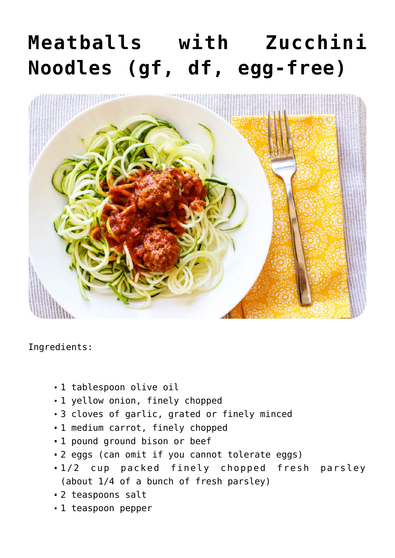## **[Meatballs with Zucchini](https://sproutshealth.com/meatballs-with-zucchini-noodles-gf-df-egg-free/) [Noodles \(gf, df, egg-free\)](https://sproutshealth.com/meatballs-with-zucchini-noodles-gf-df-egg-free/)**



Ingredients:

- 1 tablespoon olive oil
- 1 yellow onion, finely chopped
- 3 cloves of garlic, grated or finely minced
- 1 medium carrot, finely chopped
- 1 pound ground bison or beef
- 2 eggs (can omit if you cannot tolerate eggs)
- 1/2 cup packed finely chopped fresh parsley (about 1/4 of a bunch of fresh parsley)
- 2 teaspoons salt
- 1 teaspoon pepper